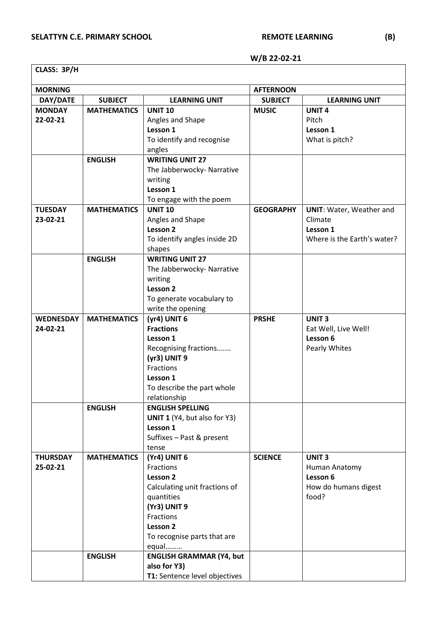## **W/B 22-02-21**

| CLASS: 3P/H      |                    |                                 |                  |                                 |  |  |
|------------------|--------------------|---------------------------------|------------------|---------------------------------|--|--|
| <b>MORNING</b>   |                    |                                 | <b>AFTERNOON</b> |                                 |  |  |
| DAY/DATE         | <b>SUBJECT</b>     | <b>LEARNING UNIT</b>            | <b>SUBJECT</b>   | <b>LEARNING UNIT</b>            |  |  |
| <b>MONDAY</b>    | <b>MATHEMATICS</b> | <b>UNIT 10</b>                  | <b>MUSIC</b>     | <b>UNIT4</b>                    |  |  |
| 22-02-21         |                    | Angles and Shape                |                  | Pitch                           |  |  |
|                  |                    | Lesson 1                        |                  | Lesson 1                        |  |  |
|                  |                    | To identify and recognise       |                  | What is pitch?                  |  |  |
|                  |                    | angles                          |                  |                                 |  |  |
|                  | <b>ENGLISH</b>     | <b>WRITING UNIT 27</b>          |                  |                                 |  |  |
|                  |                    | The Jabberwocky- Narrative      |                  |                                 |  |  |
|                  |                    | writing                         |                  |                                 |  |  |
|                  |                    | Lesson 1                        |                  |                                 |  |  |
|                  |                    | To engage with the poem         |                  |                                 |  |  |
| <b>TUESDAY</b>   | <b>MATHEMATICS</b> | <b>UNIT 10</b>                  | <b>GEOGRAPHY</b> | <b>UNIT: Water, Weather and</b> |  |  |
| 23-02-21         |                    | Angles and Shape                |                  | Climate                         |  |  |
|                  |                    | Lesson 2                        |                  | Lesson 1                        |  |  |
|                  |                    | To identify angles inside 2D    |                  | Where is the Earth's water?     |  |  |
|                  |                    | shapes                          |                  |                                 |  |  |
|                  | <b>ENGLISH</b>     | <b>WRITING UNIT 27</b>          |                  |                                 |  |  |
|                  |                    | The Jabberwocky- Narrative      |                  |                                 |  |  |
|                  |                    | writing                         |                  |                                 |  |  |
|                  |                    | Lesson 2                        |                  |                                 |  |  |
|                  |                    | To generate vocabulary to       |                  |                                 |  |  |
|                  |                    | write the opening               |                  |                                 |  |  |
| <b>WEDNESDAY</b> | <b>MATHEMATICS</b> | (yr4) UNIT 6                    | <b>PRSHE</b>     | <b>UNIT3</b>                    |  |  |
| 24-02-21         |                    | <b>Fractions</b>                |                  | Eat Well, Live Well!            |  |  |
|                  |                    | Lesson 1                        |                  | Lesson 6                        |  |  |
|                  |                    | Recognising fractions           |                  | Pearly Whites                   |  |  |
|                  |                    | (yr3) UNIT 9<br>Fractions       |                  |                                 |  |  |
|                  |                    | Lesson 1                        |                  |                                 |  |  |
|                  |                    | To describe the part whole      |                  |                                 |  |  |
|                  |                    | relationship                    |                  |                                 |  |  |
|                  | <b>ENGLISH</b>     | <b>ENGLISH SPELLING</b>         |                  |                                 |  |  |
|                  |                    | UNIT 1 (Y4, but also for Y3)    |                  |                                 |  |  |
|                  |                    | Lesson 1                        |                  |                                 |  |  |
|                  |                    | Suffixes - Past & present       |                  |                                 |  |  |
|                  |                    | tense                           |                  |                                 |  |  |
| <b>THURSDAY</b>  | <b>MATHEMATICS</b> | (Yr4) UNIT 6                    | <b>SCIENCE</b>   | <b>UNIT3</b>                    |  |  |
| 25-02-21         |                    | Fractions                       |                  | Human Anatomy                   |  |  |
|                  |                    | Lesson 2                        |                  | Lesson 6                        |  |  |
|                  |                    | Calculating unit fractions of   |                  | How do humans digest            |  |  |
|                  |                    | quantities                      |                  | food?                           |  |  |
|                  |                    | (Yr3) UNIT 9                    |                  |                                 |  |  |
|                  |                    | Fractions                       |                  |                                 |  |  |
|                  |                    | Lesson 2                        |                  |                                 |  |  |
|                  |                    | To recognise parts that are     |                  |                                 |  |  |
|                  |                    | equal                           |                  |                                 |  |  |
|                  | <b>ENGLISH</b>     | <b>ENGLISH GRAMMAR (Y4, but</b> |                  |                                 |  |  |
|                  |                    | also for Y3)                    |                  |                                 |  |  |
|                  |                    | T1: Sentence level objectives   |                  |                                 |  |  |

٦